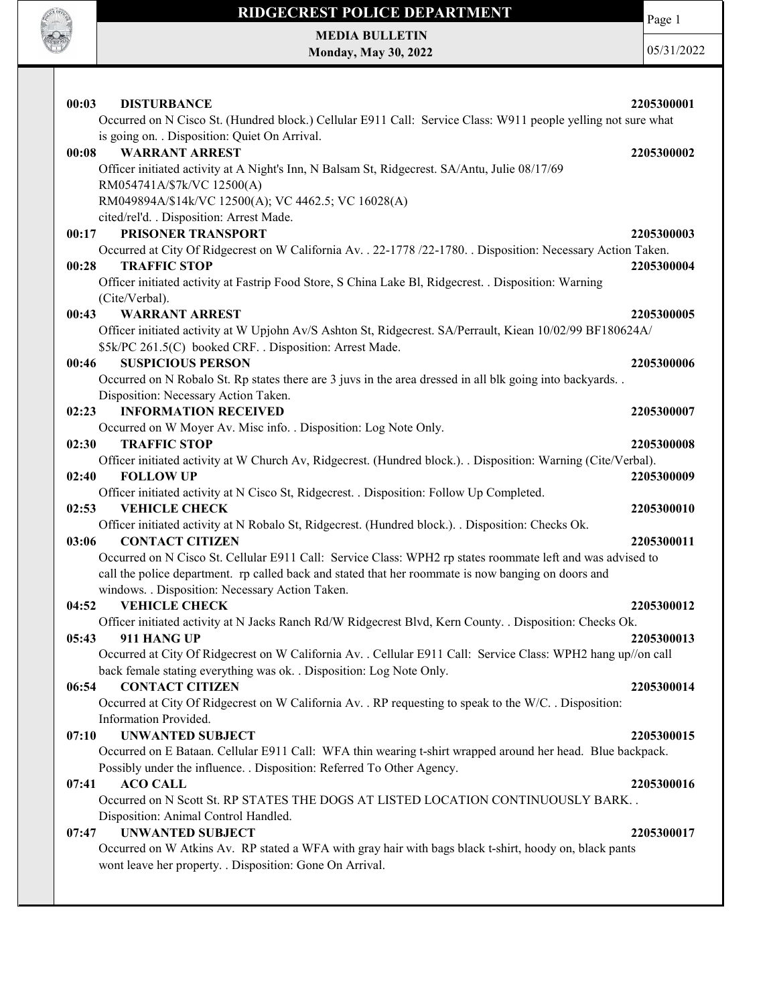

Page 1

MEDIA BULLETIN Monday, May 30, 2022

| 00:03<br><b>DISTURBANCE</b>                                                                                                                                                                                       | 2205300001 |
|-------------------------------------------------------------------------------------------------------------------------------------------------------------------------------------------------------------------|------------|
| Occurred on N Cisco St. (Hundred block.) Cellular E911 Call: Service Class: W911 people yelling not sure what<br>is going on. . Disposition: Quiet On Arrival.                                                    |            |
| <b>WARRANT ARREST</b><br>00:08                                                                                                                                                                                    | 2205300002 |
| Officer initiated activity at A Night's Inn, N Balsam St, Ridgecrest. SA/Antu, Julie 08/17/69                                                                                                                     |            |
| RM054741A/\$7k/VC 12500(A)                                                                                                                                                                                        |            |
| RM049894A/\$14k/VC 12500(A); VC 4462.5; VC 16028(A)                                                                                                                                                               |            |
| cited/rel'd. . Disposition: Arrest Made.                                                                                                                                                                          |            |
| PRISONER TRANSPORT<br>00:17                                                                                                                                                                                       | 2205300003 |
| Occurred at City Of Ridgecrest on W California Av. . 22-1778 / 22-1780. . Disposition: Necessary Action Taken.<br><b>TRAFFIC STOP</b><br>00:28                                                                    | 2205300004 |
| Officer initiated activity at Fastrip Food Store, S China Lake Bl, Ridgecrest. . Disposition: Warning                                                                                                             |            |
| (Cite/Verbal).                                                                                                                                                                                                    |            |
| 00:43<br><b>WARRANT ARREST</b>                                                                                                                                                                                    | 2205300005 |
| Officer initiated activity at W Upjohn Av/S Ashton St, Ridgecrest. SA/Perrault, Kiean 10/02/99 BF180624A/                                                                                                         |            |
| \$5k/PC 261.5(C) booked CRF. . Disposition: Arrest Made.                                                                                                                                                          |            |
| <b>SUSPICIOUS PERSON</b><br>00:46                                                                                                                                                                                 | 2205300006 |
| Occurred on N Robalo St. Rp states there are 3 juvs in the area dressed in all blk going into backyards                                                                                                           |            |
| Disposition: Necessary Action Taken.                                                                                                                                                                              |            |
| <b>INFORMATION RECEIVED</b><br>02:23                                                                                                                                                                              | 2205300007 |
| Occurred on W Moyer Av. Misc info. . Disposition: Log Note Only.                                                                                                                                                  |            |
| <b>TRAFFIC STOP</b><br>02:30                                                                                                                                                                                      | 2205300008 |
| Officer initiated activity at W Church Av, Ridgecrest. (Hundred block.). Disposition: Warning (Cite/Verbal).                                                                                                      |            |
| <b>FOLLOW UP</b><br>02:40                                                                                                                                                                                         | 2205300009 |
| Officer initiated activity at N Cisco St, Ridgecrest. . Disposition: Follow Up Completed.                                                                                                                         |            |
| 02:53<br><b>VEHICLE CHECK</b>                                                                                                                                                                                     | 2205300010 |
| Officer initiated activity at N Robalo St, Ridgecrest. (Hundred block.). . Disposition: Checks Ok.                                                                                                                |            |
| 03:06<br><b>CONTACT CITIZEN</b>                                                                                                                                                                                   | 2205300011 |
| Occurred on N Cisco St. Cellular E911 Call: Service Class: WPH2 rp states roommate left and was advised to<br>call the police department. rp called back and stated that her roommate is now banging on doors and |            |
| windows. . Disposition: Necessary Action Taken.                                                                                                                                                                   |            |
| <b>VEHICLE CHECK</b><br>04:52                                                                                                                                                                                     | 2205300012 |
| Officer initiated activity at N Jacks Ranch Rd/W Ridgecrest Blvd, Kern County. . Disposition: Checks Ok.                                                                                                          |            |
| 911 HANG UP<br>05:43                                                                                                                                                                                              | 2205300013 |
| Occurred at City Of Ridgecrest on W California Av. . Cellular E911 Call: Service Class: WPH2 hang up//on call                                                                                                     |            |
| back female stating everything was ok. . Disposition: Log Note Only.                                                                                                                                              |            |
| <b>CONTACT CITIZEN</b><br>06:54                                                                                                                                                                                   | 2205300014 |
| Occurred at City Of Ridgecrest on W California Av. . RP requesting to speak to the W/C. . Disposition:                                                                                                            |            |
| Information Provided.                                                                                                                                                                                             |            |
| <b>UNWANTED SUBJECT</b><br>07:10                                                                                                                                                                                  | 2205300015 |
| Occurred on E Bataan. Cellular E911 Call: WFA thin wearing t-shirt wrapped around her head. Blue backpack.                                                                                                        |            |
| Possibly under the influence. . Disposition: Referred To Other Agency.                                                                                                                                            |            |
| <b>ACO CALL</b><br>07:41                                                                                                                                                                                          | 2205300016 |
| Occurred on N Scott St. RP STATES THE DOGS AT LISTED LOCATION CONTINUOUSLY BARK                                                                                                                                   |            |
| Disposition: Animal Control Handled.<br><b>UNWANTED SUBJECT</b><br>07:47                                                                                                                                          |            |
|                                                                                                                                                                                                                   |            |
|                                                                                                                                                                                                                   | 2205300017 |
| Occurred on W Atkins Av. RP stated a WFA with gray hair with bags black t-shirt, hoody on, black pants<br>wont leave her property. . Disposition: Gone On Arrival.                                                |            |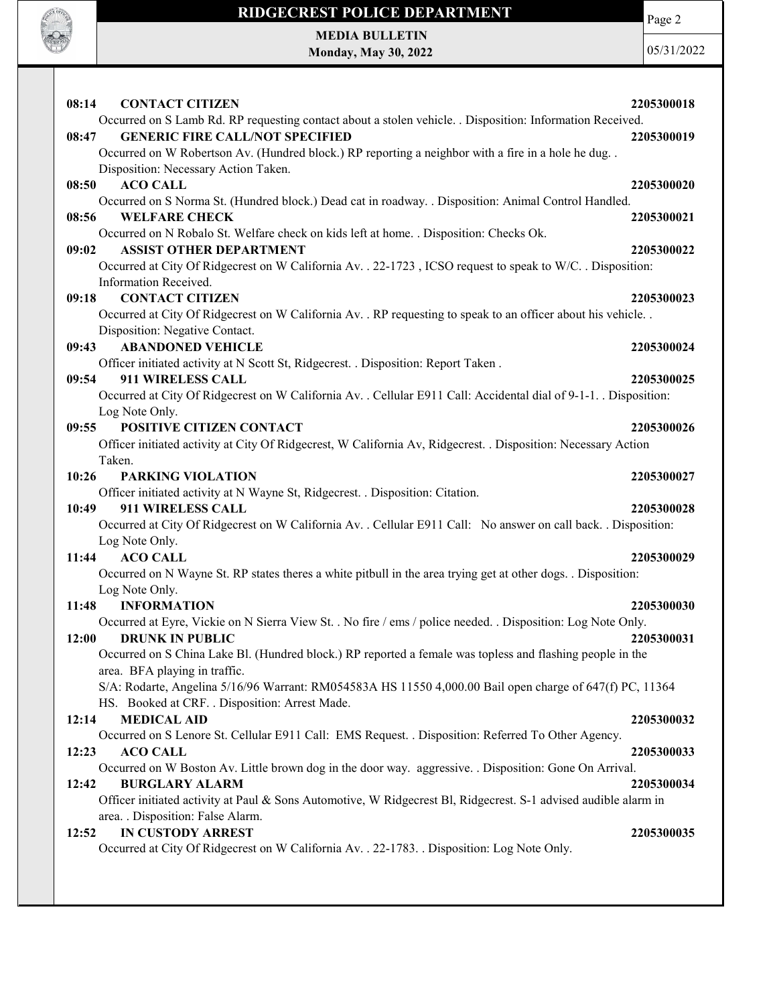

MEDIA BULLETIN Monday, May 30, 2022

**SOF OFFICER** 

| 08:14<br><b>CONTACT CITIZEN</b>                                                                                                                   | 2205300018 |
|---------------------------------------------------------------------------------------------------------------------------------------------------|------------|
| Occurred on S Lamb Rd. RP requesting contact about a stolen vehicle. . Disposition: Information Received.                                         |            |
| <b>GENERIC FIRE CALL/NOT SPECIFIED</b><br>08:47                                                                                                   | 2205300019 |
| Occurred on W Robertson Av. (Hundred block.) RP reporting a neighbor with a fire in a hole he dug. .                                              |            |
| Disposition: Necessary Action Taken.                                                                                                              |            |
| 08:50<br><b>ACO CALL</b>                                                                                                                          | 2205300020 |
| Occurred on S Norma St. (Hundred block.) Dead cat in roadway. . Disposition: Animal Control Handled.                                              |            |
| <b>WELFARE CHECK</b><br>08:56                                                                                                                     | 2205300021 |
| Occurred on N Robalo St. Welfare check on kids left at home. . Disposition: Checks Ok.<br><b>ASSIST OTHER DEPARTMENT</b><br>09:02                 | 2205300022 |
| Occurred at City Of Ridgecrest on W California Av. . 22-1723, ICSO request to speak to W/C. . Disposition:                                        |            |
| Information Received.                                                                                                                             |            |
| <b>CONTACT CITIZEN</b><br>09:18                                                                                                                   | 2205300023 |
| Occurred at City Of Ridgecrest on W California Av. . RP requesting to speak to an officer about his vehicle. .                                    |            |
| Disposition: Negative Contact.                                                                                                                    |            |
| <b>ABANDONED VEHICLE</b><br>09:43                                                                                                                 | 2205300024 |
| Officer initiated activity at N Scott St, Ridgecrest. . Disposition: Report Taken.                                                                |            |
| 911 WIRELESS CALL<br>09:54                                                                                                                        | 2205300025 |
| Occurred at City Of Ridgecrest on W California Av. . Cellular E911 Call: Accidental dial of 9-1-1. . Disposition:                                 |            |
| Log Note Only.                                                                                                                                    |            |
| POSITIVE CITIZEN CONTACT<br>09:55                                                                                                                 | 2205300026 |
| Officer initiated activity at City Of Ridgecrest, W California Av, Ridgecrest. . Disposition: Necessary Action                                    |            |
| Taken.                                                                                                                                            |            |
| 10:26<br><b>PARKING VIOLATION</b>                                                                                                                 | 2205300027 |
| Officer initiated activity at N Wayne St, Ridgecrest. . Disposition: Citation.<br>911 WIRELESS CALL<br>10:49                                      | 2205300028 |
| Occurred at City Of Ridgecrest on W California Av. . Cellular E911 Call: No answer on call back. . Disposition:                                   |            |
| Log Note Only.                                                                                                                                    |            |
| 11:44<br><b>ACO CALL</b>                                                                                                                          | 2205300029 |
| Occurred on N Wayne St. RP states theres a white pitbull in the area trying get at other dogs. . Disposition:                                     |            |
| Log Note Only.                                                                                                                                    |            |
| <b>INFORMATION</b><br>11:48                                                                                                                       | 2205300030 |
| Occurred at Eyre, Vickie on N Sierra View St. . No fire / ems / police needed. . Disposition: Log Note Only.                                      |            |
| 12:00<br><b>DRUNK IN PUBLIC</b>                                                                                                                   | 2205300031 |
| Occurred on S China Lake Bl. (Hundred block.) RP reported a female was topless and flashing people in the                                         |            |
| area. BFA playing in traffic.                                                                                                                     |            |
| S/A: Rodarte, Angelina 5/16/96 Warrant: RM054583A HS 11550 4,000.00 Bail open charge of 647(f) PC, 11364                                          |            |
| HS. Booked at CRF. . Disposition: Arrest Made.                                                                                                    |            |
| <b>MEDICAL AID</b><br>12:14                                                                                                                       | 2205300032 |
| Occurred on S Lenore St. Cellular E911 Call: EMS Request. . Disposition: Referred To Other Agency.                                                |            |
| 12:23<br><b>ACO CALL</b>                                                                                                                          | 2205300033 |
| Occurred on W Boston Av. Little brown dog in the door way. aggressive. . Disposition: Gone On Arrival.                                            |            |
| 12:42<br><b>BURGLARY ALARM</b><br>Officer initiated activity at Paul & Sons Automotive, W Ridgecrest Bl, Ridgecrest. S-1 advised audible alarm in | 2205300034 |
| area. . Disposition: False Alarm.                                                                                                                 |            |
| <b>IN CUSTODY ARREST</b><br>12:52                                                                                                                 | 2205300035 |
| Occurred at City Of Ridgecrest on W California Av. . 22-1783. . Disposition: Log Note Only.                                                       |            |
|                                                                                                                                                   |            |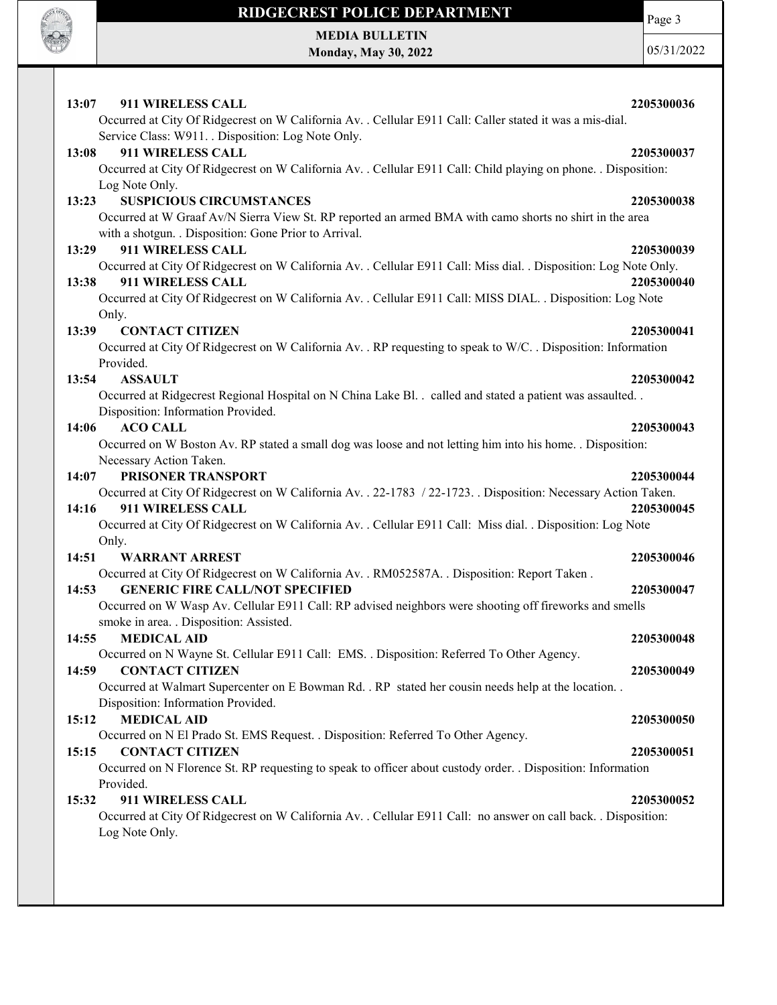

MEDIA BULLETIN Monday, May 30, 2022 Page 3  $0:$ 

| 13:07<br>911 WIRELESS CALL<br>2205300036                                                                                                                      |
|---------------------------------------------------------------------------------------------------------------------------------------------------------------|
| Occurred at City Of Ridgecrest on W California Av. . Cellular E911 Call: Caller stated it was a mis-dial.                                                     |
| Service Class: W911. . Disposition: Log Note Only.                                                                                                            |
| 13:08<br>911 WIRELESS CALL<br>2205300037                                                                                                                      |
| Occurred at City Of Ridgecrest on W California Av. . Cellular E911 Call: Child playing on phone. . Disposition:                                               |
| Log Note Only.                                                                                                                                                |
| <b>SUSPICIOUS CIRCUMSTANCES</b><br>13:23<br>2205300038                                                                                                        |
| Occurred at W Graaf Av/N Sierra View St. RP reported an armed BMA with camo shorts no shirt in the area                                                       |
| with a shotgun. . Disposition: Gone Prior to Arrival.                                                                                                         |
| 911 WIRELESS CALL<br>13:29<br>2205300039                                                                                                                      |
| Occurred at City Of Ridgecrest on W California Av. . Cellular E911 Call: Miss dial. . Disposition: Log Note Only.                                             |
| 911 WIRELESS CALL<br>13:38<br>2205300040                                                                                                                      |
| Occurred at City Of Ridgecrest on W California Av. . Cellular E911 Call: MISS DIAL. . Disposition: Log Note<br>Only.                                          |
| <b>CONTACT CITIZEN</b><br>13:39<br>2205300041                                                                                                                 |
| Occurred at City Of Ridgecrest on W California Av. . RP requesting to speak to W/C. . Disposition: Information                                                |
| Provided.                                                                                                                                                     |
| 13:54<br><b>ASSAULT</b><br>2205300042                                                                                                                         |
| Occurred at Ridgecrest Regional Hospital on N China Lake Bl. . called and stated a patient was assaulted. .                                                   |
| Disposition: Information Provided.                                                                                                                            |
| <b>ACO CALL</b><br>14:06<br>2205300043                                                                                                                        |
| Occurred on W Boston Av. RP stated a small dog was loose and not letting him into his home. . Disposition:                                                    |
| Necessary Action Taken.                                                                                                                                       |
| PRISONER TRANSPORT<br>14:07<br>2205300044                                                                                                                     |
| Occurred at City Of Ridgecrest on W California Av. . 22-1783 / 22-1723. . Disposition: Necessary Action Taken.                                                |
| 911 WIRELESS CALL<br>14:16<br>2205300045                                                                                                                      |
| Occurred at City Of Ridgecrest on W California Av. . Cellular E911 Call: Miss dial. . Disposition: Log Note                                                   |
| Only.                                                                                                                                                         |
| 14:51<br><b>WARRANT ARREST</b><br>2205300046                                                                                                                  |
| Occurred at City Of Ridgecrest on W California Av. . RM052587A. . Disposition: Report Taken.<br><b>GENERIC FIRE CALL/NOT SPECIFIED</b><br>14:53<br>2205300047 |
| Occurred on W Wasp Av. Cellular E911 Call: RP advised neighbors were shooting off fireworks and smells                                                        |
| smoke in area. . Disposition: Assisted.                                                                                                                       |
| 14:55<br><b>MEDICAL AID</b><br>2205300048                                                                                                                     |
| Occurred on N Wayne St. Cellular E911 Call: EMS. . Disposition: Referred To Other Agency.                                                                     |
| 14:59<br><b>CONTACT CITIZEN</b><br>2205300049                                                                                                                 |
| Occurred at Walmart Supercenter on E Bowman Rd. . RP stated her cousin needs help at the location. .                                                          |
| Disposition: Information Provided.                                                                                                                            |
| <b>MEDICAL AID</b><br>15:12<br>2205300050                                                                                                                     |
| Occurred on N El Prado St. EMS Request. . Disposition: Referred To Other Agency.                                                                              |
| <b>CONTACT CITIZEN</b><br>15:15<br>2205300051                                                                                                                 |
| Occurred on N Florence St. RP requesting to speak to officer about custody order. . Disposition: Information                                                  |
| Provided.                                                                                                                                                     |
| 911 WIRELESS CALL<br>15:32<br>2205300052                                                                                                                      |
| Occurred at City Of Ridgecrest on W California Av. . Cellular E911 Call: no answer on call back. . Disposition:                                               |
| Log Note Only.                                                                                                                                                |
|                                                                                                                                                               |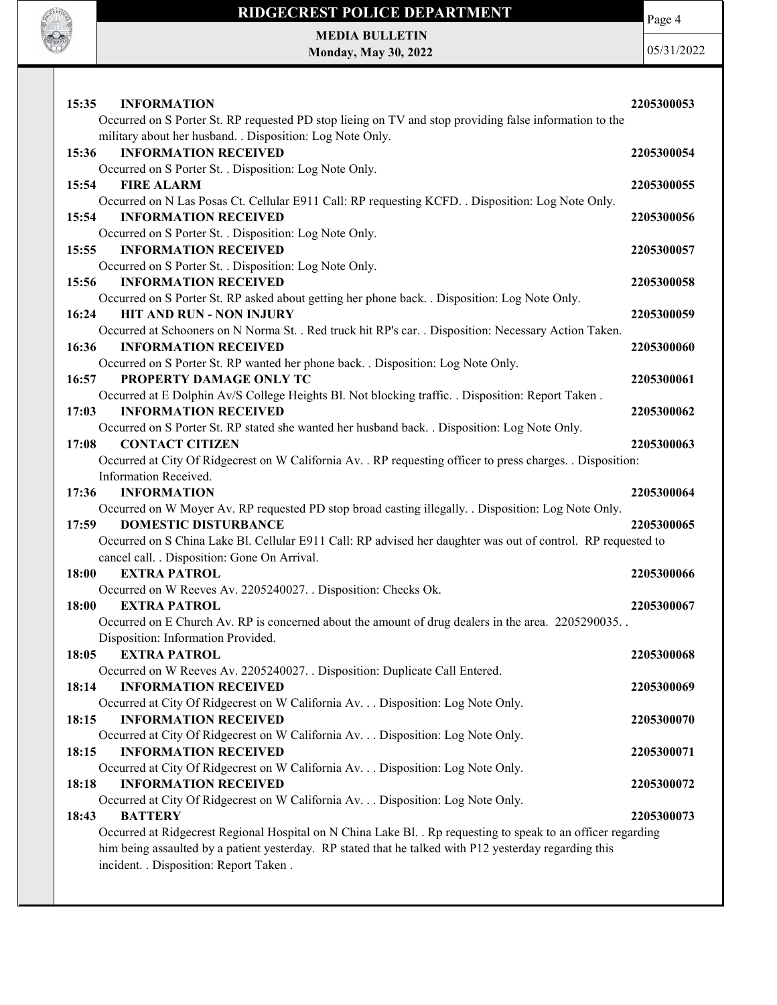

MEDIA BULLETIN Monday, May 30, 2022

**SOF OFFICER** 

| 15:35<br><b>INFORMATION</b>                                                                                                                                                                                             | 2205300053 |  |
|-------------------------------------------------------------------------------------------------------------------------------------------------------------------------------------------------------------------------|------------|--|
| Occurred on S Porter St. RP requested PD stop lieing on TV and stop providing false information to the                                                                                                                  |            |  |
| military about her husband. . Disposition: Log Note Only.                                                                                                                                                               |            |  |
| 15:36<br><b>INFORMATION RECEIVED</b>                                                                                                                                                                                    | 2205300054 |  |
| Occurred on S Porter St. . Disposition: Log Note Only.                                                                                                                                                                  |            |  |
| 15:54<br><b>FIRE ALARM</b>                                                                                                                                                                                              | 2205300055 |  |
| Occurred on N Las Posas Ct. Cellular E911 Call: RP requesting KCFD. . Disposition: Log Note Only.                                                                                                                       |            |  |
| <b>INFORMATION RECEIVED</b><br>15:54                                                                                                                                                                                    | 2205300056 |  |
| Occurred on S Porter St. . Disposition: Log Note Only.                                                                                                                                                                  |            |  |
| <b>INFORMATION RECEIVED</b><br>15:55                                                                                                                                                                                    | 2205300057 |  |
| Occurred on S Porter St. . Disposition: Log Note Only.                                                                                                                                                                  |            |  |
| 15:56<br><b>INFORMATION RECEIVED</b>                                                                                                                                                                                    | 2205300058 |  |
| Occurred on S Porter St. RP asked about getting her phone back. . Disposition: Log Note Only.                                                                                                                           |            |  |
| <b>HIT AND RUN - NON INJURY</b><br>16:24                                                                                                                                                                                | 2205300059 |  |
| Occurred at Schooners on N Norma St. . Red truck hit RP's car. . Disposition: Necessary Action Taken.                                                                                                                   |            |  |
| 16:36<br><b>INFORMATION RECEIVED</b>                                                                                                                                                                                    | 2205300060 |  |
| Occurred on S Porter St. RP wanted her phone back. . Disposition: Log Note Only.                                                                                                                                        |            |  |
| 16:57<br>PROPERTY DAMAGE ONLY TC                                                                                                                                                                                        | 2205300061 |  |
| Occurred at E Dolphin Av/S College Heights Bl. Not blocking traffic. . Disposition: Report Taken.                                                                                                                       |            |  |
| 17:03<br><b>INFORMATION RECEIVED</b>                                                                                                                                                                                    | 2205300062 |  |
| Occurred on S Porter St. RP stated she wanted her husband back. . Disposition: Log Note Only.                                                                                                                           |            |  |
| <b>CONTACT CITIZEN</b><br>17:08                                                                                                                                                                                         | 2205300063 |  |
| Occurred at City Of Ridgecrest on W California Av. . RP requesting officer to press charges. . Disposition:                                                                                                             |            |  |
| Information Received.                                                                                                                                                                                                   |            |  |
| 17:36<br><b>INFORMATION</b>                                                                                                                                                                                             | 2205300064 |  |
| Occurred on W Moyer Av. RP requested PD stop broad casting illegally. . Disposition: Log Note Only.                                                                                                                     |            |  |
| <b>DOMESTIC DISTURBANCE</b><br>17:59                                                                                                                                                                                    | 2205300065 |  |
| Occurred on S China Lake Bl. Cellular E911 Call: RP advised her daughter was out of control. RP requested to                                                                                                            |            |  |
| cancel call. . Disposition: Gone On Arrival.                                                                                                                                                                            |            |  |
| <b>EXTRA PATROL</b><br>18:00                                                                                                                                                                                            | 2205300066 |  |
| Occurred on W Reeves Av. 2205240027. . Disposition: Checks Ok.                                                                                                                                                          |            |  |
| 18:00<br><b>EXTRA PATROL</b>                                                                                                                                                                                            | 2205300067 |  |
| Occurred on E Church Av. RP is concerned about the amount of drug dealers in the area. 2205290035.                                                                                                                      |            |  |
| Disposition: Information Provided.                                                                                                                                                                                      |            |  |
| 18:05<br><b>EXTRA PATROL</b>                                                                                                                                                                                            | 2205300068 |  |
| Occurred on W Reeves Av. 2205240027. . Disposition: Duplicate Call Entered.                                                                                                                                             |            |  |
| <b>INFORMATION RECEIVED</b><br>18:14                                                                                                                                                                                    | 2205300069 |  |
| Occurred at City Of Ridgecrest on W California Av. Disposition: Log Note Only.                                                                                                                                          |            |  |
| <b>INFORMATION RECEIVED</b><br>18:15                                                                                                                                                                                    | 2205300070 |  |
| Occurred at City Of Ridgecrest on W California Av. Disposition: Log Note Only.                                                                                                                                          |            |  |
| <b>INFORMATION RECEIVED</b><br>18:15                                                                                                                                                                                    | 2205300071 |  |
| Occurred at City Of Ridgecrest on W California Av. Disposition: Log Note Only.                                                                                                                                          |            |  |
| <b>INFORMATION RECEIVED</b><br>18:18                                                                                                                                                                                    | 2205300072 |  |
| Occurred at City Of Ridgecrest on W California Av. Disposition: Log Note Only.<br><b>BATTERY</b>                                                                                                                        |            |  |
| 18:43                                                                                                                                                                                                                   | 2205300073 |  |
| Occurred at Ridgecrest Regional Hospital on N China Lake Bl. . Rp requesting to speak to an officer regarding<br>him being assaulted by a patient yesterday. RP stated that he talked with P12 yesterday regarding this |            |  |
| incident. . Disposition: Report Taken .                                                                                                                                                                                 |            |  |
|                                                                                                                                                                                                                         |            |  |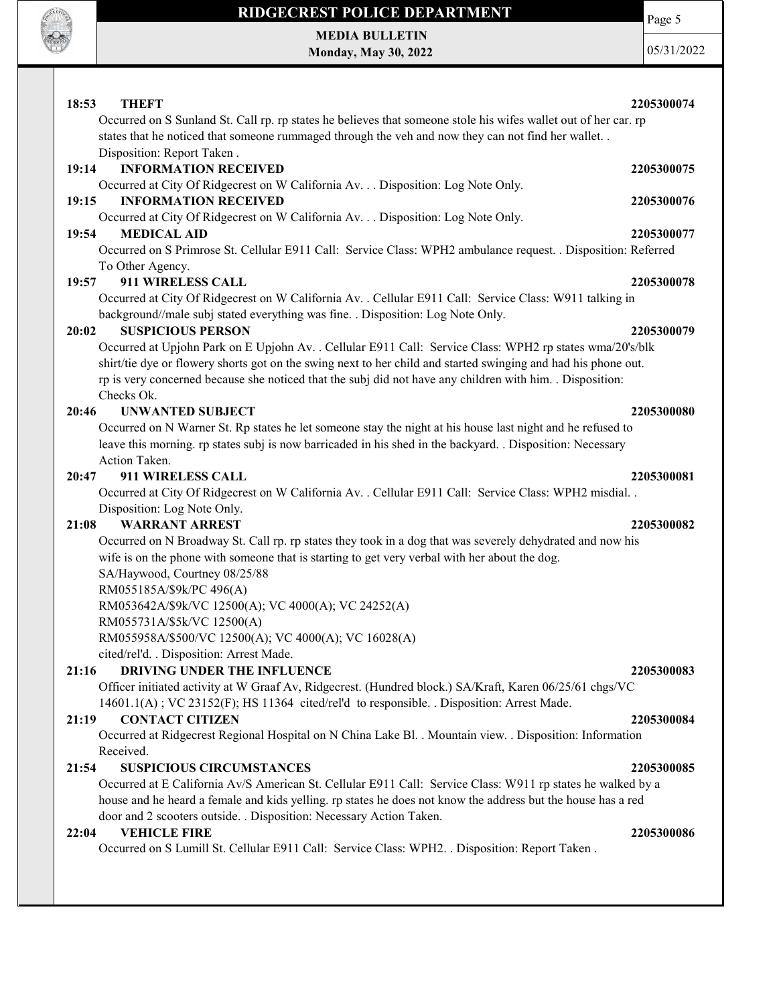

Page 5

MEDIA BULLETIN Monday, May 30, 2022

| 18:53<br><b>THEFT</b>                                                                                                              | 2205300074 |
|------------------------------------------------------------------------------------------------------------------------------------|------------|
| Occurred on S Sunland St. Call rp. rp states he believes that someone stole his wifes wallet out of her car. rp                    |            |
| states that he noticed that someone rummaged through the veh and now they can not find her wallet. .<br>Disposition: Report Taken. |            |
| <b>INFORMATION RECEIVED</b><br>19:14                                                                                               | 2205300075 |
| Occurred at City Of Ridgecrest on W California Av. Disposition: Log Note Only.                                                     |            |
| <b>INFORMATION RECEIVED</b><br>19:15                                                                                               | 2205300076 |
| Occurred at City Of Ridgecrest on W California Av. Disposition: Log Note Only.                                                     |            |
| <b>MEDICAL AID</b><br>19:54                                                                                                        | 2205300077 |
| Occurred on S Primrose St. Cellular E911 Call: Service Class: WPH2 ambulance request. . Disposition: Referred                      |            |
| To Other Agency.                                                                                                                   |            |
| 19:57<br>911 WIRELESS CALL                                                                                                         | 2205300078 |
| Occurred at City Of Ridgecrest on W California Av. . Cellular E911 Call: Service Class: W911 talking in                            |            |
| background//male subj stated everything was fine. . Disposition: Log Note Only.                                                    |            |
| 20:02<br><b>SUSPICIOUS PERSON</b>                                                                                                  | 2205300079 |
| Occurred at Upjohn Park on E Upjohn Av. . Cellular E911 Call: Service Class: WPH2 rp states wma/20's/blk                           |            |
| shirt/tie dye or flowery shorts got on the swing next to her child and started swinging and had his phone out.                     |            |
| rp is very concerned because she noticed that the subj did not have any children with him. Disposition:<br>Checks Ok.              |            |
| 20:46<br><b>UNWANTED SUBJECT</b>                                                                                                   | 2205300080 |
| Occurred on N Warner St. Rp states he let someone stay the night at his house last night and he refused to                         |            |
| leave this morning. rp states subj is now barricaded in his shed in the backyard. . Disposition: Necessary                         |            |
| Action Taken.                                                                                                                      |            |
| 911 WIRELESS CALL<br>20:47                                                                                                         | 2205300081 |
| Occurred at City Of Ridgecrest on W California Av. . Cellular E911 Call: Service Class: WPH2 misdial. .                            |            |
| Disposition: Log Note Only.                                                                                                        |            |
| <b>WARRANT ARREST</b><br>21:08                                                                                                     | 2205300082 |
| Occurred on N Broadway St. Call rp. rp states they took in a dog that was severely dehydrated and now his                          |            |
| wife is on the phone with someone that is starting to get very verbal with her about the dog.                                      |            |
| SA/Haywood, Courtney 08/25/88                                                                                                      |            |
| RM055185A/\$9k/PC 496(A)                                                                                                           |            |
| RM053642A/\$9k/VC 12500(A); VC 4000(A); VC 24252(A)                                                                                |            |
| RM055731A/\$5k/VC 12500(A)                                                                                                         |            |
| RM055958A/\$500/VC 12500(A); VC 4000(A); VC 16028(A)<br>cited/rel'd. . Disposition: Arrest Made.                                   |            |
| DRIVING UNDER THE INFLUENCE<br>21:16                                                                                               | 2205300083 |
| Officer initiated activity at W Graaf Av, Ridgecrest. (Hundred block.) SA/Kraft, Karen 06/25/61 chgs/VC                            |            |
| 14601.1(A); VC 23152(F); HS 11364 cited/rel'd to responsible. Disposition: Arrest Made.                                            |            |
| <b>CONTACT CITIZEN</b><br>21:19                                                                                                    | 2205300084 |
| Occurred at Ridgecrest Regional Hospital on N China Lake Bl. . Mountain view. . Disposition: Information                           |            |
| Received.                                                                                                                          |            |
| 21:54<br><b>SUSPICIOUS CIRCUMSTANCES</b>                                                                                           | 2205300085 |
| Occurred at E California Av/S American St. Cellular E911 Call: Service Class: W911 rp states he walked by a                        |            |
| house and he heard a female and kids yelling. rp states he does not know the address but the house has a red                       |            |
| door and 2 scooters outside. . Disposition: Necessary Action Taken.                                                                |            |
| <b>VEHICLE FIRE</b><br>22:04                                                                                                       | 2205300086 |
| Occurred on S Lumill St. Cellular E911 Call: Service Class: WPH2. . Disposition: Report Taken.                                     |            |
|                                                                                                                                    |            |
|                                                                                                                                    |            |
|                                                                                                                                    |            |
|                                                                                                                                    |            |